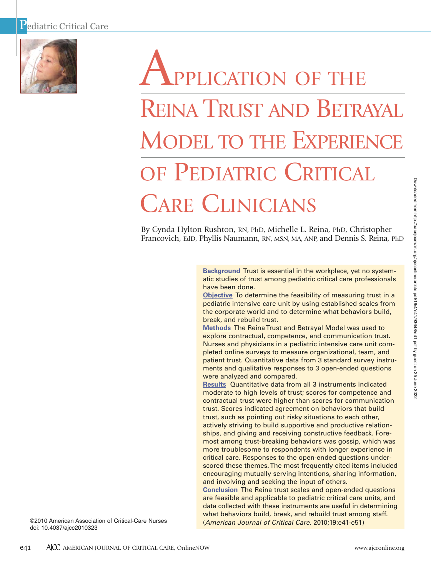

# PPLICATION OF THE REINA TRUST AND BETRAYAL MODEL TO THE EXPERIENC PEDIATRIC CRITICAL CARE CLINICIANS

By Cynda Hylton Rushton, RN, PhD, Michelle L. Reina, PhD, Christopher Francovich, EdD, Phyllis Naumann, RN, MSN, MA, ANP, and Dennis S. Reina, PhD

> **Background** Trust is essential in the workplace, yet no systematic studies of trust among pediatric critical care professionals have been done.

> **Objective** To determine the feasibility of measuring trust in a pediatric intensive care unit by using established scales from the corporate world and to determine what behaviors build, break, and rebuild trust.

> **Methods** The Reina Trust and Betrayal Model was used to explore contractual, competence, and communication trust. Nurses and physicians in a pediatric intensive care unit completed online surveys to measure organizational, team, and patient trust. Quantitative data from 3 standard survey instruments and qualitative responses to 3 open-ended questions were analyzed and compared.

> **Results** Quantitative data from all 3 instruments indicated moderate to high levels of trust; scores for competence and contractual trust were higher than scores for communication trust. Scores indicated agreement on behaviors that build trust, such as pointing out risky situations to each other, actively striving to build supportive and productive relationships, and giving and receiving constructive feedback. Foremost among trust-breaking behaviors was gossip, which was more troublesome to respondents with longer experience in critical care. Responses to the open-ended questions underscored these themes. The most frequently cited items included encouraging mutually serving intentions, sharing information, and involving and seeking the input of others.

> **Conclusion** The Reina trust scales and open-ended questions are feasible and applicable to pediatric critical care units, and data collected with these instruments are useful in determining what behaviors build, break, and rebuild trust among staff. (*American Journal of Critical Care.* 2010;19:e41-e51)

©2010 American Association of Critical-Care Nurses doi: 10.4037/ajcc2010323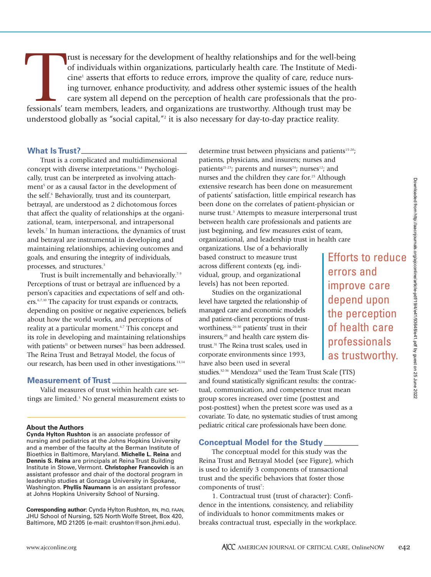Efforts to reduce

errors and

improve care depend upon the perception of health care professionals

as trustworthy.

The team of the development of healthy relationships and for the well-bein of individuals within organizations, particularly health care. The Institute of Med cine<sup>1</sup> asserts that efforts to reduce errors, improve the qual rust is necessary for the development of healthy relationships and for the well-being of individuals within organizations, particularly health care. The Institute of Medicine<sup>1</sup> asserts that efforts to reduce errors, improve the quality of care, reduce nursing turnover, enhance productivity, and address other systemic issues of the health care system all depend on the perception of health care professionals that the prounderstood globally as "social capital,"<sup>2</sup> it is also necessary for day-to-day practice reality.

### **What Is Trust?**

Trust is a complicated and multidimensional concept with diverse interpretations.<sup>3,4</sup> Psychologically, trust can be interpreted as involving attachment<sup>5</sup> or as a causal factor in the development of the self.<sup>6</sup> Behaviorally, trust and its counterpart, betrayal, are understood as 2 dichotomous forces that affect the quality of relationships at the organizational, team, interpersonal, and intrapersonal levels.7 In human interactions, the dynamics of trust and betrayal are instrumental in developing and maintaining relationships, achieving outcomes and goals, and ensuring the integrity of individuals, processes, and structures.<sup>3</sup>

Trust is built incrementally and behaviorally.7-9 Perceptions of trust or betrayal are influenced by a person's capacities and expectations of self and others.6,7,10 The capacity for trust expands or contracts, depending on positive or negative experiences, beliefs about how the world works, and perceptions of reality at a particular moment.<sup>6,7</sup> This concept and its role in developing and maintaining relationships with patients<sup>11</sup> or between nurses<sup>12</sup> has been addressed. The Reina Trust and Betrayal Model, the focus of our research, has been used in other investigations.13,14

### **Measurement of Trust**

Valid measures of trust within health care settings are limited.<sup>3</sup> No general measurement exists to

#### **About the Authors**

**Cynda Hylton Rushton** is an associate professor of nursing and pediatrics at the Johns Hopkins University and a member of the faculty at the Berman Institute of Bioethics in Baltimore, Maryland. **Michelle L. Reina** and **Dennis S. Reina** are principals at Reina Trust Building Institute in Stowe, Vermont. **Christopher Francovich** is an assistant professor and chair of the doctoral program in leadership studies at Gonzaga University in Spokane, Washington. **Phyllis Naumann** is an assistant professor at Johns Hopkins University School of Nursing.

**Corresponding author:** Cynda Hylton Rushton, RN, PhD, FAAN, JHU School of Nursing, 525 North Wolfe Street, Box 420, Baltimore, MD 21205 (e-mail: crushton@son.jhmi.edu).

determine trust between physicians and patients<sup>15-20</sup>; patients, physicians, and insurers; nurses and patients<sup>21-23</sup>; parents and nurses<sup>24</sup>; nurses<sup>12</sup>; and nurses and the children they care for.<sup>25</sup> Although extensive research has been done on measurement of patients' satisfaction, little empirical research has been done on the correlates of patient-physician or nurse trust.3 Attempts to measure interpersonal trust between health care professionals and patients are just beginning, and few measures exist of team, organizational, and leadership trust in health care

organizations. Use of a behaviorally based construct to measure trust across different contexts (eg, individual, group, and organizational levels) has not been reported.

Studies on the organizational level have targeted the relationship of managed care and economic models and patient-client perceptions of trustworthiness,<sup>26-30</sup> patients' trust in their insurers,<sup>20</sup> and health care system distrust.31 The Reina trust scales, used in corporate environments since 1993, have also been used in several

studies.<sup>32-36</sup> Mendoza<sup>32</sup> used the Team Trust Scale (TTS) and found statistically significant results: the contractual, communication, and competence trust mean group scores increased over time (posttest and post-posttest) when the pretest score was used as a covariate. To date, no systematic studies of trust among pediatric critical care professionals have been done.

#### **Conceptual Model for the Study**

The conceptual model for this study was the Reina Trust and Betrayal Model (see Figure), which is used to identify 3 components of transactional trust and the specific behaviors that foster those components of trust<sup>7</sup>:

1. Contractual trust (trust of character): Confidence in the intentions, consistency, and reliability of individuals to honor commitments makes or breaks contractual trust, especially in the workplace.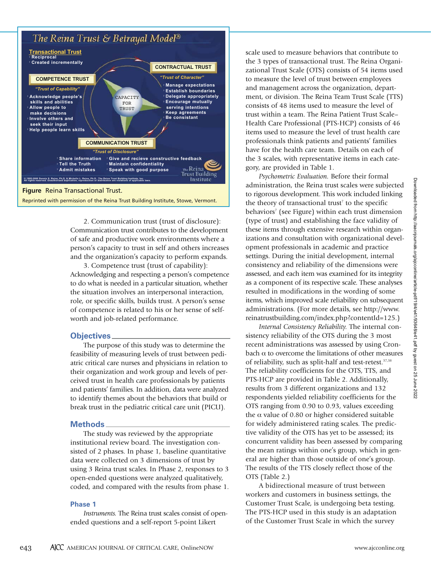

2. Communication trust (trust of disclosure): Communication trust contributes to the development of safe and productive work environments where a person's capacity to trust in self and others increases and the organization's capacity to perform expands.

3. Competence trust (trust of capability): Acknowledging and respecting a person's competence to do what is needed in a particular situation, whether the situation involves an interpersonal interaction, role, or specific skills, builds trust. A person's sense of competence is related to his or her sense of selfworth and job-related performance.

# **Objectives**

The purpose of this study was to determine the feasibility of measuring levels of trust between pediatric critical care nurses and physicians in relation to their organization and work group and levels of perceived trust in health care professionals by patients and patients' families. In addition, data were analyzed to identify themes about the behaviors that build or break trust in the pediatric critical care unit (PICU).

# **Methods**

The study was reviewed by the appropriate institutional review board. The investigation consisted of 2 phases. In phase 1, baseline quantitative data were collected on 3 dimensions of trust by using 3 Reina trust scales. In Phase 2, responses to 3 open-ended questions were analyzed qualitatively, coded, and compared with the results from phase 1.

# **Phase 1**

*Instruments.* The Reina trust scales consist of openended questions and a self-report 5-point Likert

scale used to measure behaviors that contribute to the 3 types of transactional trust. The Reina Organizational Trust Scale (OTS) consists of 54 items used to measure the level of trust between employees and management across the organization, department, or division. The Reina Team Trust Scale (TTS) consists of 48 items used to measure the level of trust within a team. The Reina Patient Trust Scale– Health Care Professional (PTS-HCP) consists of 46 items used to measure the level of trust health care professionals think patients and patients' families have for the health care team. Details on each of the 3 scales, with representative items in each category, are provided in Table 1.

*Psychometric Evaluation.* Before their formal administration, the Reina trust scales were subjected to rigorous development. This work included linking the theory of transactional trust<sup>7</sup> to the specific behaviors<sup>7</sup> (see Figure) within each trust dimension (type of trust) and establishing the face validity of these items through extensive research within organizations and consultation with organizational development professionals in academic and practice settings. During the initial development, internal consistency and reliability of the dimensions were assessed, and each item was examined for its integrity as a component of its respective scale. These analyses resulted in modifications in the wording of some items, which improved scale reliability on subsequent administrations. (For more details, see http://www. reinatrustbuilding.com/index.php?contentId=125.)

*Internal Consistency Reliability.* The internal consistency reliability of the OTS during the 3 most recent administrations was assessed by using Cronbach  $\alpha$  to overcome the limitations of other measures of reliability, such as split-half and test-retest.<sup>37,38</sup> The reliability coefficients for the OTS, TTS, and PTS-HCP are provided in Table 2. Additionally, results from 3 different organizations and 132 respondents yielded reliability coefficients for the OTS ranging from 0.90 to 0.93, values exceeding the  $α$  value of 0.80 or higher considered suitable for widely administered rating scales. The predictive validity of the OTS has yet to be assessed; its concurrent validity has been assessed by comparing the mean ratings within one's group, which in general are higher than those outside of one's group. The results of the TTS closely reflect those of the OTS (Table 2.)

A bidirectional measure of trust between workers and customers in business settings, the Customer Trust Scale, is undergoing beta testing. The PTS-HCP used in this study is an adaptation of the Customer Trust Scale in which the survey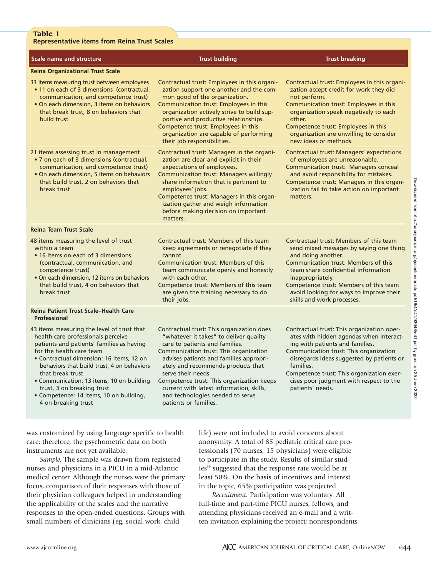#### **Table 1 Representative items from Reina Trust Scales**

| <b>Scale name and structure</b>                                                                                                                                                                                                                                                                                                                                                                                      | <b>Trust building</b><br><b>Trust breaking</b>                                                                                                                                                                                                                                                                                                                                                                               |                                                                                                                                                                                                                                                                                                                                          |
|----------------------------------------------------------------------------------------------------------------------------------------------------------------------------------------------------------------------------------------------------------------------------------------------------------------------------------------------------------------------------------------------------------------------|------------------------------------------------------------------------------------------------------------------------------------------------------------------------------------------------------------------------------------------------------------------------------------------------------------------------------------------------------------------------------------------------------------------------------|------------------------------------------------------------------------------------------------------------------------------------------------------------------------------------------------------------------------------------------------------------------------------------------------------------------------------------------|
| <b>Reina Organizational Trust Scale</b>                                                                                                                                                                                                                                                                                                                                                                              |                                                                                                                                                                                                                                                                                                                                                                                                                              |                                                                                                                                                                                                                                                                                                                                          |
| 33 items measuring trust between employees<br>• 11 on each of 3 dimensions (contractual,<br>communication, and competence trust)<br>• On each dimension, 3 items on behaviors<br>that break trust, 8 on behaviors that<br>build trust                                                                                                                                                                                | Contractual trust: Employees in this organi-<br>zation support one another and the com-<br>mon good of the organization.<br>Communication trust: Employees in this<br>organization actively strive to build sup-<br>portive and productive relationships.<br>Competence trust: Employees in this<br>organization are capable of performing<br>their job responsibilities.                                                    | Contractual trust: Employees in this organi-<br>zation accept credit for work they did<br>not perform.<br>Communication trust: Employees in this<br>organization speak negatively to each<br>other.<br>Competence trust: Employees in this<br>organization are unwilling to consider<br>new ideas or methods.                            |
| 21 items assessing trust in management<br>• 7 on each of 3 dimensions (contractual,<br>communication, and competence trust)<br>• On each dimension, 5 items on behaviors<br>that build trust, 2 on behaviors that<br>break trust                                                                                                                                                                                     | Contractual trust: Managers in the organi-<br>zation are clear and explicit in their<br>expectations of employees.<br><b>Communication trust: Managers willingly</b><br>share information that is pertinent to<br>employees' jobs.<br>Competence trust: Managers in this organ-<br>ization gather and weigh information<br>before making decision on important<br>matters.                                                   | <b>Contractual trust: Managers' expectations</b><br>of employees are unreasonable.<br>Communication trust: Managers conceal<br>and avoid responsibility for mistakes.<br>Competence trust: Managers in this organ-<br>ization fail to take action on important<br>matters.                                                               |
| <b>Reina Team Trust Scale</b>                                                                                                                                                                                                                                                                                                                                                                                        |                                                                                                                                                                                                                                                                                                                                                                                                                              |                                                                                                                                                                                                                                                                                                                                          |
| 48 items measuring the level of trust<br>within a team<br>• 16 items on each of 3 dimensions<br>(contractual, communication, and<br>competence trust)<br>• On each dimension, 12 items on behaviors<br>that build trust. 4 on behaviors that<br>break trust                                                                                                                                                          | Contractual trust: Members of this team<br>keep agreements or renegotiate if they<br>cannot.<br>Communication trust: Members of this<br>team communicate openly and honestly<br>with each other.<br>Competence trust: Members of this team<br>are given the training necessary to do<br>their jobs.                                                                                                                          | Contractual trust: Members of this team<br>send mixed messages by saying one thing<br>and doing another.<br><b>Communication trust: Members of this</b><br>team share confidential information<br>inappropriately.<br>Competence trust: Members of this team<br>avoid looking for ways to improve their<br>skills and work processes.    |
| <b>Reina Patient Trust Scale-Health Care</b><br><b>Professional</b>                                                                                                                                                                                                                                                                                                                                                  |                                                                                                                                                                                                                                                                                                                                                                                                                              |                                                                                                                                                                                                                                                                                                                                          |
| 43 items measuring the level of trust that<br>health care professionals perceive<br>patients and patients' families as having<br>for the health care team<br>• Contractual dimension: 16 items, 12 on<br>behaviors that build trust, 4 on behaviors<br>that break trust<br>• Communication: 13 items, 10 on building<br>trust, 3 on breaking trust<br>• Competence: 14 items, 10 on building,<br>4 on breaking trust | Contractual trust: This organization does<br>"whatever it takes" to deliver quality<br>care to patients and families.<br>Communication trust: This organization<br>advises patients and families appropri-<br>ately and recommends products that<br>serve their needs.<br>Competence trust: This organization keeps<br>current with latest information, skills,<br>and technologies needed to serve<br>patients or families. | Contractual trust: This organization oper-<br>ates with hidden agendas when interact-<br>ing with patients and families.<br>Communication trust: This organization<br>disregards ideas suggested by patients or<br>families.<br>Competence trust: This organization exer-<br>cises poor judgment with respect to the<br>patients' needs. |

was customized by using language specific to health care; therefore, the psychometric data on both instruments are not yet available.

*Sample.* The sample was drawn from registered nurses and physicians in a PICU in a mid-Atlantic medical center. Although the nurses were the primary focus, comparison of their responses with those of their physician colleagues helped in understanding the applicability of the scales and the narrative responses to the open-ended questions. Groups with small numbers of clinicians (eg, social work, child

life) were not included to avoid concerns about anonymity. A total of 85 pediatric critical care professionals (70 nurses, 15 physicians) were eligible to participate in the study. Results of similar studies<sup>39</sup> suggested that the response rate would be at least 50%. On the basis of incentives and interest in the topic, 65% participation was projected.

*Recruitment.* Participation was voluntary. All full-time and part-time PICU nurses, fellows, and attending physicians received an e-mail and a written invitation explaining the project; nonrespondents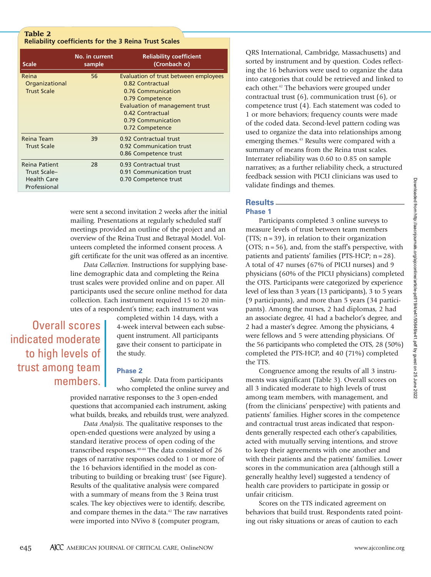# **Table 2 Reliability coefficients for the 3 Reina Trust Scales**

| <b>Scale</b>                                                        | No. in current<br>sample | <b>Reliability coefficient</b><br>(Cronbach α)                                                                                                                                                    |
|---------------------------------------------------------------------|--------------------------|---------------------------------------------------------------------------------------------------------------------------------------------------------------------------------------------------|
| Reina<br>Organizational<br><b>Trust Scale</b>                       | 56                       | Evaluation of trust between employees<br>0.82 Contractual<br>0.76 Communication<br>0.79 Competence<br>Evaluation of management trust<br>0.42 Contractual<br>0.79 Communication<br>0.72 Competence |
| Reina Team<br><b>Trust Scale</b>                                    | 39                       | 0.92 Contractual trust<br>0.92 Communication trust<br>0.86 Competence trust                                                                                                                       |
| <b>Reina Patient</b><br>Trust Scale-<br>Health Care<br>Professional | 28                       | 0.93 Contractual trust<br>0.91 Communication trust<br>0.70 Competence trust                                                                                                                       |

were sent a second invitation 2 weeks after the initial mailing. Presentations at regularly scheduled staff meetings provided an outline of the project and an overview of the Reina Trust and Betrayal Model. Volunteers completed the informed consent process. A gift certificate for the unit was offered as an incentive.

*Data Collection.* Instructions for supplying baseline demographic data and completing the Reina trust scales were provided online and on paper. All participants used the secure online method for data collection. Each instrument required 15 to 20 minutes of a respondent's time; each instrument was

# Overall scores indicated moderate to high levels of trust among team members.

completed within 14 days, with a 4-week interval between each subsequent instrument. All participants gave their consent to participate in the study.

# **Phase 2**

*Sample.* Data from participants who completed the online survey and

provided narrative responses to the 3 open-ended questions that accompanied each instrument, asking what builds, breaks, and rebuilds trust, were analyzed.

*Data Analysis.* The qualitative responses to the open-ended questions were analyzed by using a standard iterative process of open coding of the transcribed responses.<sup>40-44</sup> The data consisted of 26 pages of narrative responses coded to 1 or more of the 16 behaviors identified in the model as contributing to building or breaking trust<sup>7</sup> (see Figure). Results of the qualitative analysis were compared with a summary of means from the 3 Reina trust scales. The key objectives were to identify, describe, and compare themes in the data.<sup>42</sup> The raw narratives were imported into NVivo 8 (computer program,

QRS International, Cambridge, Massachusetts) and sorted by instrument and by question. Codes reflecting the 16 behaviors were used to organize the data into categories that could be retrieved and linked to each other.<sup>42</sup> The behaviors were grouped under contractual trust (6), communication trust (6), or competence trust (4). Each statement was coded to 1 or more behaviors; frequency counts were made of the coded data. Second-level pattern coding was used to organize the data into relationships among emerging themes.43 Results were compared with a summary of means from the Reina trust scales. Interrater reliability was 0.60 to 0.85 on sample narratives; as a further reliability check, a structured feedback session with PICU clinicians was used to validate findings and themes.

# **Results**

# **Phase 1**

Participants completed 3 online surveys to measure levels of trust between team members  $(TTS; n = 39)$ , in relation to their organization (OTS; n = 56), and, from the staff's perspective, with patients and patients' families (PTS-HCP; n = 28). A total of 47 nurses (67% of PICU nurses) and 9 physicians (60% of the PICU physicians) completed the OTS. Participants were categorized by experience level of less than 3 years (13 participants), 3 to 5 years (9 participants), and more than 5 years (34 participants). Among the nurses, 2 had diplomas, 2 had an associate degree, 41 had a bachelor's degree, and 2 had a master's degree. Among the physicians, 4 were fellows and 5 were attending physicians. Of the 56 participants who completed the OTS, 28 (50%) completed the PTS-HCP, and 40 (71%) completed the TTS.

Congruence among the results of all 3 instruments was significant (Table 3). Overall scores on all 3 indicated moderate to high levels of trust among team members, with management, and (from the clinicians' perspective) with patients and patients' families. Higher scores in the competence and contractual trust areas indicated that respondents generally respected each other's capabilities, acted with mutually serving intentions, and strove to keep their agreements with one another and with their patients and the patients' families. Lower scores in the communication area (although still a generally healthy level) suggested a tendency of health care providers to participate in gossip or unfair criticism.

Scores on the TTS indicated agreement on behaviors that build trust. Respondents rated pointing out risky situations or areas of caution to each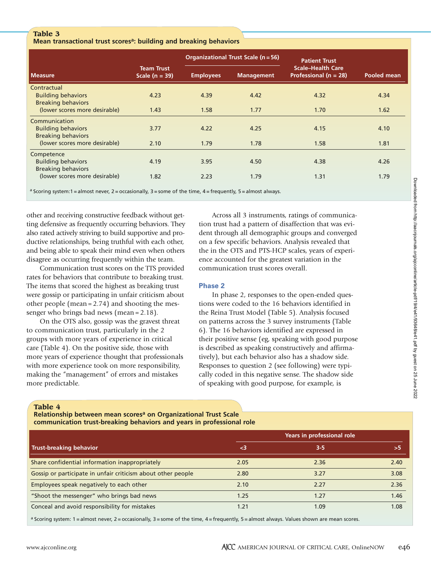# **Table 3**

**Mean transactional trust scoresa: building and breaking behaviors**

|                                                           |      |                  | <b>Organizational Trust Scale (n = 56)</b> | <b>Patient Trust</b>                                  |             |
|-----------------------------------------------------------|------|------------------|--------------------------------------------|-------------------------------------------------------|-------------|
| <b>Team Trust</b><br><b>Measure</b><br>Scale ( $n = 39$ ) |      | <b>Employees</b> | <b>Management</b>                          | <b>Scale-Health Care</b><br>Professional ( $n = 28$ ) | Pooled mean |
| Contractual                                               |      |                  |                                            |                                                       |             |
| <b>Building behaviors</b>                                 | 4.23 | 4.39             | 4.42                                       | 4.32                                                  | 4.34        |
| <b>Breaking behaviors</b>                                 |      |                  |                                            |                                                       |             |
| (lower scores more desirable)                             | 1.43 | 1.58             | 1.77                                       | 1.70                                                  | 1.62        |
| Communication                                             |      |                  |                                            |                                                       |             |
| <b>Building behaviors</b>                                 | 3.77 | 4.22             | 4.25                                       | 4.15                                                  | 4.10        |
| <b>Breaking behaviors</b>                                 |      |                  |                                            |                                                       |             |
| (lower scores more desirable)                             | 2.10 | 1.79             | 1.78                                       | 1.58                                                  | 1.81        |
| Competence                                                |      |                  |                                            |                                                       |             |
| <b>Building behaviors</b>                                 | 4.19 | 3.95             | 4.50                                       | 4.38                                                  | 4.26        |
| <b>Breaking behaviors</b>                                 |      |                  |                                            |                                                       |             |
| (lower scores more desirable)                             | 1.82 | 2.23             | 1.79                                       | 1.31                                                  | 1.79        |
|                                                           |      |                  |                                            |                                                       |             |

<sup>a</sup> Scoring system:1 = almost never,  $2 =$  occasionally,  $3 =$  some of the time,  $4 =$  frequently,  $5 =$  almost always.

other and receiving constructive feedback without getting defensive as frequently occurring behaviors. They also rated actively striving to build supportive and productive relationships, being truthful with each other, and being able to speak their mind even when others disagree as occurring frequently within the team.

Communication trust scores on the TTS provided rates for behaviors that contribute to breaking trust. The items that scored the highest as breaking trust were gossip or participating in unfair criticism about other people (mean = 2.74) and shooting the messenger who brings bad news (mean = 2.18).

On the OTS also, gossip was the gravest threat to communication trust, particularly in the 2 groups with more years of experience in critical care (Table 4). On the positive side, those with more years of experience thought that professionals with more experience took on more responsibility, making the "management" of errors and mistakes more predictable.

Across all 3 instruments, ratings of communication trust had a pattern of disaffection that was evident through all demographic groups and converged on a few specific behaviors. Analysis revealed that the in the OTS and PTS-HCP scales, years of experience accounted for the greatest variation in the communication trust scores overall.

## **Phase 2**

In phase 2, responses to the open-ended questions were coded to the 16 behaviors identified in the Reina Trust Model (Table 5). Analysis focused on patterns across the 3 survey instruments (Table 6). The 16 behaviors identified are expressed in their positive sense (eg, speaking with good purpose is described as speaking constructively and affirmatively), but each behavior also has a shadow side. Responses to question 2 (see following) were typically coded in this negative sense. The shadow side of speaking with good purpose, for example, is

**Table 4** 

**Relationship between mean scores<sup>a</sup> on Organizational Trust Scale communication trust-breaking behaviors and years in professional role**

|                                                              | Years in professional role |         |      |
|--------------------------------------------------------------|----------------------------|---------|------|
| Trust-breaking behavior                                      | $\leq$ 3                   | $3 - 5$ | >5   |
| Share confidential information inappropriately               | 2.05                       | 2.36    | 2.40 |
| Gossip or participate in unfair criticism about other people | 2.80                       | 3.27    | 3.08 |
| Employees speak negatively to each other                     | 2.10                       | 2.27    | 2.36 |
| "Shoot the messenger" who brings bad news                    | 1.25                       | 1.27    | 1.46 |
| Conceal and avoid responsibility for mistakes                | 1.21                       | 1.09    | 1.08 |

a Scoring system: 1 = almost never, 2 = occasionally, 3 = some of the time, 4 = frequently, 5 = almost always. Values shown are mean scores.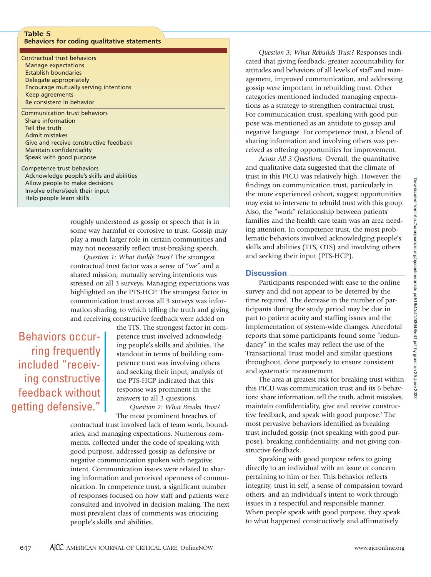#### **Table 5 Behaviors for coding qualitative statements**

| <b>Contractual trust behaviors</b>    |
|---------------------------------------|
| <b>Manage expectations</b>            |
| <b>Establish boundaries</b>           |
| Delegate appropriately                |
| Encourage mutually serving intentions |
| Keep agreements                       |
| Be consistent in behavior             |

Communication trust behaviors Share information Tell the truth Admit mistakes Give and receive constructive feedback Maintain confidentiality Speak with good purpose

Competence trust behaviors Acknowledge people's skills and abilities Allow people to make decisions Involve others/seek their input Help people learn skills

> roughly understood as gossip or speech that is in some way harmful or corrosive to trust. Gossip may play a much larger role in certain communities and may not necessarily reflect trust-breaking speech.

*Question 1: What Builds Trust?* The strongest contractual trust factor was a sense of "we" and a shared mission; mutually serving intentions was stressed on all 3 surveys. Managing expectations was highlighted on the PTS-HCP. The strongest factor in communication trust across all 3 surveys was information sharing, to which telling the truth and giving and receiving constructive feedback were added on

Behaviors occurring frequently included "receiving constructive feedback without getting defensive."

the TTS. The strongest factor in competence trust involved acknowledging people's skills and abilities. The standout in terms of building competence trust was involving others and seeking their input; analysis of the PTS-HCP indicated that this response was prominent in the answers to all 3 questions.

*Question 2: What Breaks Trust?* The most prominent breaches of

contractual trust involved lack of team work, boundaries, and managing expectations. Numerous comments, collected under the code of speaking with good purpose, addressed gossip as defensive or negative communication spoken with negative intent. Communication issues were related to sharing information and perceived openness of communication. In competence trust, a significant number of responses focused on how staff and patients were consulted and involved in decision making. The next most prevalent class of comments was criticizing people's skills and abilities.

*Question 3: What Rebuilds Trust?* Responses indicated that giving feedback, greater accountability for attitudes and behaviors of all levels of staff and management, improved communication, and addressing gossip were important in rebuilding trust. Other categories mentioned included managing expectations as a strategy to strengthen contractual trust. For communication trust, speaking with good purpose was mentioned as an antidote to gossip and negative language. For competence trust, a blend of sharing information and involving others was perceived as offering opportunities for improvement.

*Across All 3 Questions.* Overall, the quantitative and qualitative data suggested that the climate of trust in this PICU was relatively high. However, the findings on communication trust, particularly in the more experienced cohort, suggest opportunities may exist to intervene to rebuild trust with this group. Also, the "work" relationship between patients' families and the health care team was an area needing attention. In competence trust, the most problematic behaviors involved acknowledging people's skills and abilities (TTS, OTS) and involving others and seeking their input (PTS-HCP).

# **Discussion**

Participants responded with ease to the online survey and did not appear to be deterred by the time required. The decrease in the number of participants during the study period may be due in part to patient acuity and staffing issues and the implementation of system-wide changes. Anecdotal reports that some participants found some "redundancy" in the scales may reflect the use of the Transactional Trust model and similar questions throughout, done purposely to ensure consistent and systematic measurement.

The area at greatest risk for breaking trust within this PICU was communication trust and its 6 behaviors: share information, tell the truth, admit mistakes, maintain confidentiality, give and receive constructive feedback, and speak with good purpose.<sup>7</sup> The most pervasive behaviors identified as breaking trust included gossip (not speaking with good purpose), breaking confidentiality, and not giving constructive feedback.

Speaking with good purpose refers to going directly to an individual with an issue or concern pertaining to him or her. This behavior reflects integrity, trust in self, a sense of compassion toward others, and an individual's intent to work through issues in a respectful and responsible manner. When people speak with good purpose, they speak to what happened constructively and affirmatively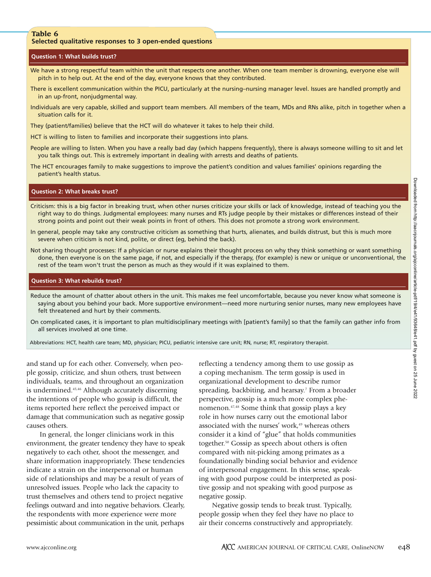#### **Selected qualitative responses to 3 open-ended questions**

#### **Question 1: What builds trust?**

- We have a strong respectful team within the unit that respects one another. When one team member is drowning, everyone else will pitch in to help out. At the end of the day, everyone knows that they contributed.
- There is excellent communication within the PICU, particularly at the nursing–nursing manager level. Issues are handled promptly and in an up-front, nonjudgmental way.
- Individuals are very capable, skilled and support team members. All members of the team, MDs and RNs alike, pitch in together when a situation calls for it.
- They (patient/families) believe that the HCT will do whatever it takes to help their child.
- HCT is willing to listen to families and incorporate their suggestions into plans.
- People are willing to listen. When you have a really bad day (which happens frequently), there is always someone willing to sit and let you talk things out. This is extremely important in dealing with arrests and deaths of patients.
- The HCT encourages family to make suggestions to improve the patient's condition and values families' opinions regarding the patient's health status.

#### **Question 2: What breaks trust?**

- Criticism: this is a big factor in breaking trust, when other nurses criticize your skills or lack of knowledge, instead of teaching you the right way to do things. Judgmental employees: many nurses and RTs judge people by their mistakes or differences instead of their strong points and point out their weak points in front of others. This does not promote a strong work environment.
- In general, people may take any constructive criticism as something that hurts, alienates, and builds distrust, but this is much more severe when criticism is not kind, polite, or direct (eg, behind the back).
- Not sharing thought processes: If a physician or nurse explains their thought process on why they think something or want something done, then everyone is on the same page, if not, and especially if the therapy, (for example) is new or unique or unconventional, the rest of the team won't trust the person as much as they would if it was explained to them.

#### **Question 3: What rebuilds trust?**

- Reduce the amount of chatter about others in the unit. This makes me feel uncomfortable, because you never know what someone is saying about you behind your back. More supportive environment—need more nurturing senior nurses, many new employees have felt threatened and hurt by their comments.
- On complicated cases, it is important to plan multidisciplinary meetings with [patient's family] so that the family can gather info from all services involved at one time.

Abbreviations: HCT, health care team; MD, physician; PICU, pediatric intensive care unit; RN, nurse; RT, respiratory therapist.

and stand up for each other. Conversely, when people gossip, criticize, and shun others, trust between individuals, teams, and throughout an organization is undermined.<sup>45,46</sup> Although accurately discerning the intentions of people who gossip is difficult, the items reported here reflect the perceived impact or damage that communication such as negative gossip causes others.

In general, the longer clinicians work in this environment, the greater tendency they have to speak negatively to each other, shoot the messenger, and share information inappropriately. These tendencies indicate a strain on the interpersonal or human side of relationships and may be a result of years of unresolved issues. People who lack the capacity to trust themselves and others tend to project negative feelings outward and into negative behaviors. Clearly, the respondents with more experience were more pessimistic about communication in the unit, perhaps

reflecting a tendency among them to use gossip as a coping mechanism. The term gossip is used in organizational development to describe rumor spreading, backbiting, and hearsay.<sup>7</sup> From a broader perspective, gossip is a much more complex phenomenon.47,48 Some think that gossip plays a key role in how nurses carry out the emotional labor associated with the nurses' work,<sup>49</sup> whereas others consider it a kind of "glue" that holds communities together.<sup>50</sup> Gossip as speech about others is often compared with nit-picking among primates as a foundationally binding social behavior and evidence of interpersonal engagement. In this sense, speaking with good purpose could be interpreted as positive gossip and not speaking with good purpose as negative gossip.

Negative gossip tends to break trust. Typically, people gossip when they feel they have no place to air their concerns constructively and appropriately.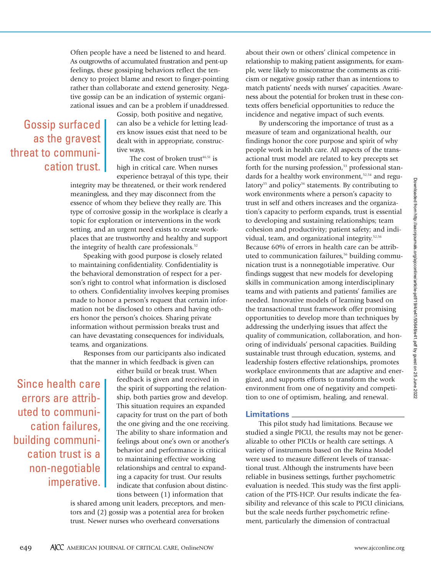Often people have a need be listened to and heard. As outgrowths of accumulated frustration and pent-up feelings, these gossiping behaviors reflect the tendency to project blame and resort to finger-pointing rather than collaborate and extend generosity. Negative gossip can be an indication of systemic organizational issues and can be a problem if unaddressed.

# Gossip surfaced as the gravest threat to communication trust.

Gossip, both positive and negative, can also be a vehicle for letting leaders know issues exist that need to be dealt with in appropriate, constructive ways.

The cost of broken trust $46,51$  is high in critical care. When nurses experience betrayal of this type, their

integrity may be threatened, or their work rendered meaningless, and they may disconnect from the essence of whom they believe they really are. This type of corrosive gossip in the workplace is clearly a topic for exploration or interventions in the work setting, and an urgent need exists to create workplaces that are trustworthy and healthy and support the integrity of health care professionals.<sup>52</sup>

Speaking with good purpose is closely related to maintaining confidentiality. Confidentiality is the behavioral demonstration of respect for a person's right to control what information is disclosed to others. Confidentiality involves keeping promises made to honor a person's request that certain information not be disclosed to others and having others honor the person's choices. Sharing private information without permission breaks trust and can have devastating consequences for individuals, teams, and organizations.

Responses from our participants also indicated that the manner in which feedback is given can

Since health care errors are attributed to communication failures, building communication trust is a non-negotiable imperative.

either build or break trust. When feedback is given and received in the spirit of supporting the relationship, both parties grow and develop. This situation requires an expanded capacity for trust on the part of both the one giving and the one receiving. The ability to share information and feelings about one's own or another's behavior and performance is critical to maintaining effective working relationships and central to expanding a capacity for trust. Our results indicate that confusion about distinctions between (1) information that

is shared among unit leaders, preceptors, and mentors and (2) gossip was a potential area for broken trust. Newer nurses who overheard conversations

about their own or others' clinical competence in relationship to making patient assignments, for example, were likely to misconstrue the comments as criticism or negative gossip rather than as intentions to match patients' needs with nurses' capacities. Awareness about the potential for broken trust in these contexts offers beneficial opportunities to reduce the incidence and negative impact of such events.

By underscoring the importance of trust as a measure of team and organizational health, our findings honor the core purpose and spirit of why people work in health care. All aspects of the transactional trust model are related to key precepts set forth for the nursing profession, $53$  professional standards for a healthy work environment,<sup>52,54</sup> and regulatory<sup>55</sup> and policy<sup>56</sup> statements. By contributing to work environments where a person's capacity to trust in self and others increases and the organization's capacity to perform expands, trust is essential to developing and sustaining relationships; team cohesion and productivity; patient safety; and individual, team, and organizational integrity.<sup>52,56</sup> Because 60% of errors in health care can be attributed to communication failures,<sup>56</sup> building communication trust is a nonnegotiable imperative. Our findings suggest that new models for developing skills in communication among interdisciplinary teams and with patients and patients' families are needed. Innovative models of learning based on the transactional trust framework offer promising opportunities to develop more than techniques by addressing the underlying issues that affect the quality of communication, collaboration, and honoring of individuals' personal capacities. Building sustainable trust through education, systems, and leadership fosters effective relationships, promotes workplace environments that are adaptive and energized, and supports efforts to transform the work environment from one of negativity and competition to one of optimism, healing, and renewal.

# **Limitations**

This pilot study had limitations. Because we studied a single PICU, the results may not be generalizable to other PICUs or health care settings. A variety of instruments based on the Reina Model were used to measure different levels of transactional trust. Although the instruments have been reliable in business settings, further psychometric evaluation is needed. This study was the first application of the PTS-HCP. Our results indicate the feasibility and relevance of this scale to PICU clinicians, but the scale needs further psychometric refinement, particularly the dimension of contractual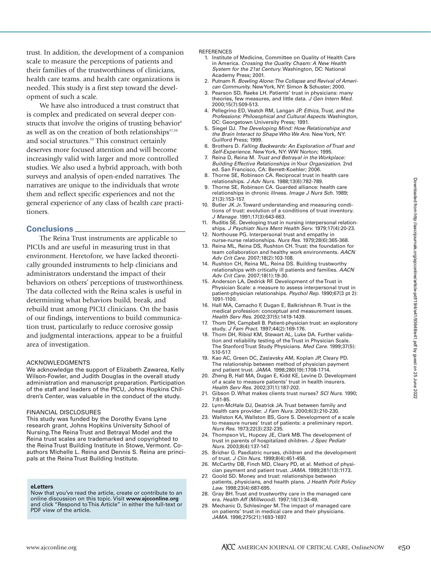trust. In addition, the development of a companion scale to measure the perceptions of patients and their families of the trustworthiness of clinicians, health care teams. and health care organizations is needed. This study is a first step toward the development of such a scale.

We have also introduced a trust construct that is complex and predicated on several deeper constructs that involve the origins of trusting behavior<sup>6</sup> as well as on the creation of both relationships<sup>57,58</sup> and social structures.<sup>59</sup> This construct certainly deserves more focused attention and will become increasingly valid with larger and more controlled studies. We also used a hybrid approach, with both surveys and analysis of open-ended narratives. The narratives are unique to the individuals that wrote them and reflect specific experiences and not the general experience of any class of health care practitioners.

#### **Conclusions**

The Reina Trust instruments are applicable to PICUs and are useful in measuring trust in that environment. Heretofore, we have lacked theoretically grounded instruments to help clinicians and administrators understand the impact of their behaviors on others' perceptions of trustworthiness. The data collected with the Reina scales is useful in determining what behaviors build, break, and rebuild trust among PICU clinicians. On the basis of our findings, interventions to build communication trust, particularly to reduce corrosive gossip and judgmental interactions, appear to be a fruitful area of investigation.

#### ACKNOWLEDGMENTS

We acknowledge the support of Elizabeth Zawarea, Kelly Wilson-Fowler, and Judith Douglas in the overall study administration and manuscript preparation. Participation of the staff and leaders of the PICU, Johns Hopkins Children's Center, was valuable in the conduct of the study.

#### FINANCIAL DISCLOSURES

This study was funded by the Dorothy Evans Lyne research grant, Johns Hopkins University School of Nursing.The Reina Trust and Betrayal Model and the Reina trust scales are trademarked and copyrighted to the Reina Trust Building Institute in Stowe, Vermont. Coauthors Michelle L. Reina and Dennis S. Reina are principals at the Reina Trust Building Institute.

#### **eLetters**

Now that you've read the article, create or contribute to an online discussion on this topic. Visit **www.ajcconline.org** and click "Respond to This Article" in either the full-text or PDF view of the article.

#### REFERENCES

- 1. Institute of Medicine, Committee on Quality of Health Care in America. *Crossing the Quality Chasm: A New Health System for the 21st Century.* Washington, DC: National Academy Press; 2001.
- 2. Putnam R. *Bowling Alone: The Collapse and Revival of American Community.* New York, NY: Simon & Schuster; 2000.
- 3. Pearson SD, Raeke LH. Patients' trust in physicians: many theories, few measures, and little data. *J Gen Intern Med.* 2000;15(7):509-513.
- 4. Pellegrino ED, Veatch RM, Langan JP. *Ethics, Trust, and the Professions: Philosophical and Cultural Aspects.* Washington, DC: Georgetown University Press; 1991.
- 5. Siegel DJ. *The Developing Mind: How Relationships and the Brain Interact to Shape Who We Are.* New York, NY: Guilford Press; 1999.
- 6. Brothers D. *Falling Backwards: An Exploration of Trust and Self-Experience.* New York, NY: WW Norton; 1995.
- 7. Reina D, Reina M. *Trust and Betrayal in the Workplace: Building Effective Relationships in Your Organization.* 2nd ed. San Francisco, CA: Berrett-Koehler; 2006.
- 8. Thorne SE, Robinson CA. Reciprocal trust in health care relationships. *J Adv Nurs.* 1988;13(6):782-789.
- 9. Thorne SE, Robinson CA. Guarded alliance: health care relationships in chronic illness. *Image J Nurs Sch.* 1989; 21(3):153-157.
- 10. Butler JK Jr. Toward understanding and measuring conditions of trust: evolution of a conditions of trust inventory. *J Manage.* 1991;17(3):643-663.
- 11. Ruditis SE. Developing trust in nursing interpersonal relationships. *J Psychiatr Nurs Ment Health Serv.* 1979;17(4):20-23.
- 12. Northouse PG. Interpersonal trust and empathy in nurse-nurse relationships. *Nurs Res.* 1979;28(6):365-368.
- 13. Reina ML, Reina DS, Rushton CH. Trust: the foundation for team collaboration and healthy work environments. *AACN Adv Crit Care.* 2007;18(2):103-108.
- 14. Rushton CH, Reina ML, Reina DS. Building trustworthy relationships with critically ill patients and families. *AACN Adv Crit Care.* 2007;18(1):19-30.
- 15. Anderson LA, Dedrick RF. Development of the Trust in Physician Scale: a measure to assess interpersonal trust in patient-physician relationships. *Psychol Rep.* 1990;67(3 pt 2): 1091-1100.
- 16. Hall MA, Camacho F, Dugan E, Balkrishnan R. Trust in the medical profession: conceptual and measurement issues. *Health Serv Res.* 2002;37(5):1419-1439.
- 17. Thom DH, Campbell B. Patient-physician trust: an exploratory study. *J Fam Pract.* 1997;44(2):169-176.
- 18. Thom DH, Ribisl KM, Stewart AL, Luke DA. Further validation and reliability testing of the Trust in Physician Scale. The Stanford Trust Study Physicians. *Med Care.* 1999;37(5): 510-517.
- 19. Kao AC, Green DC, Zaslavsky AM, Koplan JP, Cleary PD. The relationship between method of physician payment and patient trust. *JAMA.* 1998;280(19):1708-1714.
- 20. Zheng B, Hall MA, Dugan E, Kidd KE, Levine D. Development of a scale to measure patients' trust in health insurers. *Health Serv Res.* 2002;37(1):187-202.
- 21. Gibson D. What makes clients trust nurses? *SCI Nurs.* 1990; 7:81-85.
- 22. Lynn-McHale DJ, Deatrick JA. Trust between family and health care provider. *J Fam Nurs.* 2000;6(3):210-230.
- 23. Wallston KA, Wallston BS, Gore S. Development of a scale to measure nurses' trust of patients: a preliminary report. *Nurs Res.* 1973;22(3):232-235.
- 24. Thompson VL, Hupcey JE, Clark MB. The development of trust in parents of hospitalized children. *J Spec Pediatr Nurs.* 2003;8(4):137-147.
- 25. Bricher G. Paediatric nurses, children and the development of trust. *J Clin Nurs.* 1999;8(4):451-458.
- 26. McCarthy DB, Finch MD, Cleary PD, et al. Method of physician payment and patient trust. *JAMA.* 1999;281(13):1173.
- 27. Goold SD. Money and trust: relationships between patients, physicians, and health plans. *J Health Polit Policy Law.* 1998;23(4):687-695.
- 28. Gray BH. Trust and trustworthy care in the managed care era. *Health Aff (Millwood).* 1997;16(1):34-49.
- 29. Mechanic D, Schlesinger M. The impact of managed care on patients' trust in medical care and their physicians. *JAMA.* 1996;275(21):1693-1697.